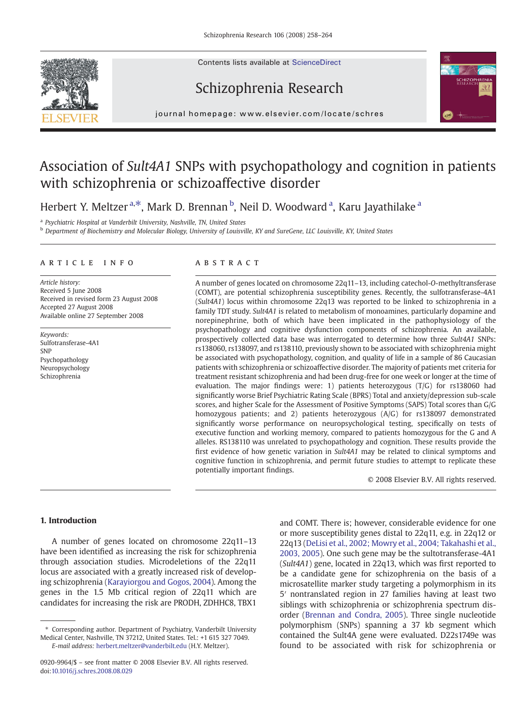Contents lists available at ScienceDirect



# Schizophrenia Research



j o u r n a l h om e p a g e : www. e l s ev i e r. c om / l o c a t e / s c h r e s

# Association of Sult4A1 SNPs with psychopathology and cognition in patients with schizophrenia or schizoaffective disorder

Herbert Y. Meltzer <sup>a,\*</sup>, Mark D. Brennan <sup>b</sup>, Neil D. Woodward <sup>a</sup>, Karu Jayathilake <sup>a</sup>

<sup>a</sup> Psychiatric Hospital at Vanderbilt University, Nashville, TN, United States

b Department of Biochemistry and Molecular Biology, University of Louisville, KY and SureGene, LLC Louisville, KY, United States

# article info abstract

Article history: Received 5 June 2008 Received in revised form 23 August 2008 Accepted 27 August 2008 Available online 27 September 2008

Keywords: Sulfotransferase-4A1 **SNP** Psychopathology Neuropsychology Schizophrenia

A number of genes located on chromosome 22q11–13, including catechol-O-methyltransferase (COMT), are potential schizophrenia susceptibility genes. Recently, the sulfotransferase-4A1 (Sult4A1) locus within chromosome 22q13 was reported to be linked to schizophrenia in a family TDT study. Sult4A1 is related to metabolism of monoamines, particularly dopamine and norepinephrine, both of which have been implicated in the pathophysiology of the psychopathology and cognitive dysfunction components of schizophrenia. An available, prospectively collected data base was interrogated to determine how three Sult4A1 SNPs: rs138060, rs138097, and rs138110, previously shown to be associated with schizophrenia might be associated with psychopathology, cognition, and quality of life in a sample of 86 Caucasian patients with schizophrenia or schizoaffective disorder. The majority of patients met criteria for treatment resistant schizophrenia and had been drug-free for one week or longer at the time of evaluation. The major findings were: 1) patients heterozygous (T/G) for rs138060 had significantly worse Brief Psychiatric Rating Scale (BPRS) Total and anxiety/depression sub-scale scores, and higher Scale for the Assessment of Positive Symptoms (SAPS) Total scores than G/G homozygous patients; and 2) patients heterozygous (A/G) for rs138097 demonstrated significantly worse performance on neuropsychological testing, specifically on tests of executive function and working memory, compared to patients homozygous for the G and A alleles. RS138110 was unrelated to psychopathology and cognition. These results provide the first evidence of how genetic variation in Sult4A1 may be related to clinical symptoms and cognitive function in schizophrenia, and permit future studies to attempt to replicate these potentially important findings.

© 2008 Elsevier B.V. All rights reserved.

# 1. Introduction

A number of genes located on chromosome 22q11–13 have been identified as increasing the risk for schizophrenia through association studies. Microdeletions of the 22q11 locus are associated with a greatly increased risk of developing schizophrenia [\(Karayiorgou and Gogos, 2004\)](#page-6-0). Among the genes in the 1.5 Mb critical region of 22q11 which are candidates for increasing the risk are PRODH, ZDHHC8, TBX1

and COMT. There is; however, considerable evidence for one or more susceptibility genes distal to 22q11, e.g. in 22q12 or 22q13 [\(DeLisi et al., 2002; Mowry et al., 2004; Takahashi et al.,](#page-5-0) [2003, 2005](#page-5-0)). One such gene may be the sultotransferase-4A1 (Sult4A1) gene, located in 22q13, which was first reported to be a candidate gene for schizophrenia on the basis of a microsatellite marker study targeting a polymorphism in its 5′ nontranslated region in 27 families having at least two siblings with schizophrenia or schizophrenia spectrum disorder [\(Brennan and Condra, 2005\)](#page-5-0). Three single nucleotide polymorphism (SNPs) spanning a 37 kb segment which contained the Sult4A gene were evaluated. D22s1749e was found to be associated with risk for schizophrenia or

<sup>⁎</sup> Corresponding author. Department of Psychiatry, Vanderbilt University Medical Center, Nashville, TN 37212, United States. Tel.: +1 615 327 7049. E-mail address: [herbert.meltzer@vanderbilt.edu](mailto:herbert.meltzer@vanderbilt.edu) (H.Y. Meltzer).

<sup>0920-9964/\$</sup> – see front matter © 2008 Elsevier B.V. All rights reserved. doi:[10.1016/j.schres.2008.08.029](http://dx.doi.org/10.1016/j.schres.2008.08.029)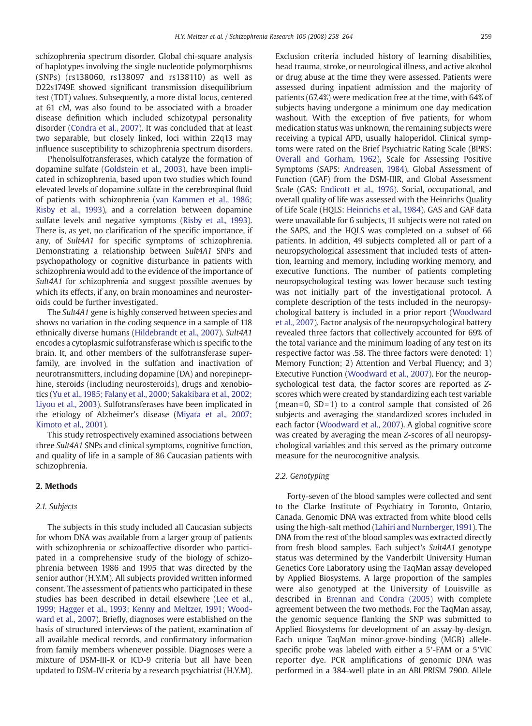schizophrenia spectrum disorder. Global chi-square analysis of haplotypes involving the single nucleotide polymorphisms (SNPs) (rs138060, rs138097 and rs138110) as well as D22s1749E showed significant transmission disequilibrium test (TDT) values. Subsequently, a more distal locus, centered at 61 cM, was also found to be associated with a broader disease definition which included schizotypal personality disorder ([Condra et al., 2007](#page-5-0)). It was concluded that at least two separable, but closely linked, loci within 22q13 may influence susceptibility to schizophrenia spectrum disorders.

Phenolsulfotransferases, which catalyze the formation of dopamine sulfate ([Goldstein et al., 2003\)](#page-5-0), have been implicated in schizophrenia, based upon two studies which found elevated levels of dopamine sulfate in the cerebrospinal fluid of patients with schizophrenia [\(van Kammen et al., 1986;](#page-6-0) [Risby et al., 1993\)](#page-6-0), and a correlation between dopamine sulfate levels and negative symptoms [\(Risby et al., 1993](#page-6-0)). There is, as yet, no clarification of the specific importance, if any, of Sult4A1 for specific symptoms of schizophrenia. Demonstrating a relationship between Sult4A1 SNPs and psychopathology or cognitive disturbance in patients with schizophrenia would add to the evidence of the importance of Sult4A1 for schizophrenia and suggest possible avenues by which its effects, if any, on brain monoamines and neurosteroids could be further investigated.

The Sult4A1 gene is highly conserved between species and shows no variation in the coding sequence in a sample of 118 ethnically diverse humans ([Hildebrandt et al., 2007\)](#page-5-0). Sult4A1 encodes a cytoplasmic sulfotransferase which is specific to the brain. It, and other members of the sulfotransferase superfamily, are involved in the sulfation and inactivation of neurotransmitters, including dopamine (DA) and norepineprhine, steroids (including neurosteroids), drugs and xenobiotics ([Yu et al., 1985; Falany et al., 2000; Sakakibara et al., 2002;](#page-6-0) [Liyou et al., 2003](#page-6-0)). Sulfotransferases have been implicated in the etiology of Alzheimer's disease ([Miyata et al., 2007;](#page-6-0) [Kimoto et al., 2001\)](#page-6-0).

This study retrospectively examined associations between three Sult4A1 SNPs and clinical symptoms, cognitive function, and quality of life in a sample of 86 Caucasian patients with schizophrenia.

# 2. Methods

### 2.1. Subjects

The subjects in this study included all Caucasian subjects for whom DNA was available from a larger group of patients with schizophrenia or schizoaffective disorder who participated in a comprehensive study of the biology of schizophrenia between 1986 and 1995 that was directed by the senior author (H.Y.M). All subjects provided written informed consent. The assessment of patients who participated in these studies has been described in detail elsewhere [\(Lee et al.,](#page-6-0) [1999; Hagger et al., 1993; Kenny and Meltzer, 1991; Wood](#page-6-0)[ward et al., 2007\)](#page-6-0). Briefly, diagnoses were established on the basis of structured interviews of the patient, examination of all available medical records, and confirmatory information from family members whenever possible. Diagnoses were a mixture of DSM-III-R or ICD-9 criteria but all have been updated to DSM-IV criteria by a research psychiatrist (H.Y.M). Exclusion criteria included history of learning disabilities, head trauma, stroke, or neurological illness, and active alcohol or drug abuse at the time they were assessed. Patients were assessed during inpatient admission and the majority of patients (67.4%) were medication free at the time, with 64% of subjects having undergone a minimum one day medication washout. With the exception of five patients, for whom medication status was unknown, the remaining subjects were receiving a typical APD, usually haloperidol. Clinical symptoms were rated on the Brief Psychiatric Rating Scale (BPRS: [Overall and Gorham, 1962\)](#page-6-0), Scale for Assessing Positive Symptoms (SAPS: [Andreasen, 1984\)](#page-5-0), Global Assessment of Function (GAF) from the DSM-IIIR, and Global Assessment Scale (GAS: [Endicott et al., 1976\)](#page-5-0). Social, occupational, and overall quality of life was assessed with the Heinrichs Quality of Life Scale (HQLS: [Heinrichs et al., 1984\)](#page-5-0). GAS and GAF data were unavailable for 6 subjects, 11 subjects were not rated on the SAPS, and the HQLS was completed on a subset of 66 patients. In addition, 49 subjects completed all or part of a neuropsychological assessment that included tests of attention, learning and memory, including working memory, and executive functions. The number of patients completing neuropsychological testing was lower because such testing was not initially part of the investigational protocol. A complete description of the tests included in the neuropsychological battery is included in a prior report ([Woodward](#page-6-0) [et al., 2007](#page-6-0)). Factor analysis of the neuropsychological battery revealed three factors that collectively accounted for 69% of the total variance and the minimum loading of any test on its respective factor was .58. The three factors were denoted: 1) Memory Function; 2) Attention and Verbal Fluency; and 3) Executive Function ([Woodward et al., 2007\)](#page-6-0). For the neuropsychological test data, the factor scores are reported as Zscores which were created by standardizing each test variable (mean=0,  $SD=1$ ) to a control sample that consisted of 26 subjects and averaging the standardized scores included in each factor [\(Woodward et al., 2007\)](#page-6-0). A global cognitive score was created by averaging the mean Z-scores of all neuropsychological variables and this served as the primary outcome measure for the neurocognitive analysis.

### 2.2. Genotyping

Forty-seven of the blood samples were collected and sent to the Clarke Institute of Psychiatry in Toronto, Ontario, Canada. Genomic DNA was extracted from white blood cells using the high-salt method ([Lahiri and Nurnberger, 1991](#page-6-0)). The DNA from the rest of the blood samples was extracted directly from fresh blood samples. Each subject's Sult4A1 genotype status was determined by the Vanderbilt University Human Genetics Core Laboratory using the TaqMan assay developed by Applied Biosystems. A large proportion of the samples were also genotyped at the University of Louisville as described in [Brennan and Condra \(2005\)](#page-5-0) with complete agreement between the two methods. For the TaqMan assay, the genomic sequence flanking the SNP was submitted to Applied Biosystems for development of an assay-by-design. Each unique TaqMan minor-grove-binding (MGB) allelespecific probe was labeled with either a 5′-FAM or a 5′VIC reporter dye. PCR amplifications of genomic DNA was performed in a 384-well plate in an ABI PRISM 7900. Allele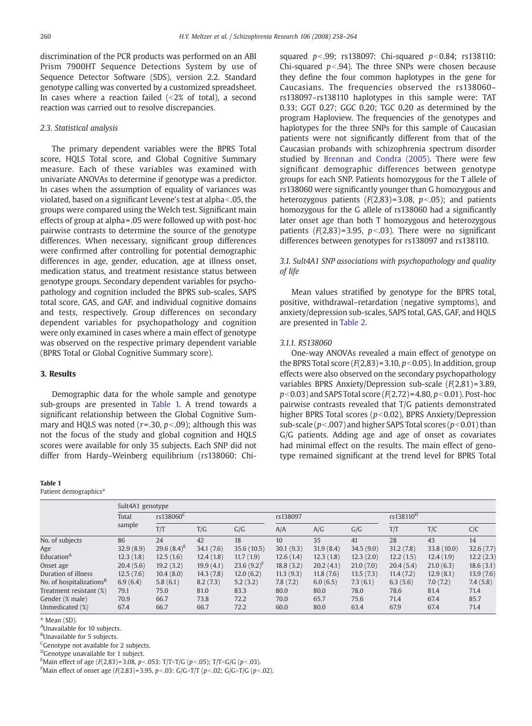discrimination of the PCR products was performed on an ABI Prism 7900HT Sequence Detections System by use of Sequence Detector Software (SDS), version 2.2. Standard genotype calling was converted by a customized spreadsheet. In cases where a reaction failed  $($ <2% of total), a second reaction was carried out to resolve discrepancies.

# 2.3. Statistical analysis

The primary dependent variables were the BPRS Total score, HQLS Total score, and Global Cognitive Summary measure. Each of these variables was examined with univariate ANOVAs to determine if genotype was a predictor. In cases when the assumption of equality of variances was violated, based on a significant Levene's test at alpha<.05, the groups were compared using the Welch test. Significant main effects of group at alpha =.05 were followed up with post-hoc pairwise contrasts to determine the source of the genotype differences. When necessary, significant group differences were confirmed after controlling for potential demographic differences in age, gender, education, age at illness onset, medication status, and treatment resistance status between genotype groups. Secondary dependent variables for psychopathology and cognition included the BPRS sub-scales, SAPS total score, GAS, and GAF, and individual cognitive domains and tests, respectively. Group differences on secondary dependent variables for psychopathology and cognition were only examined in cases where a main effect of genotype was observed on the respective primary dependent variable (BPRS Total or Global Cognitive Summary score).

# 3. Results

Demographic data for the whole sample and genotype sub-groups are presented in Table 1. A trend towards a significant relationship between the Global Cognitive Summary and HQLS was noted ( $r = 0.30$ ,  $p < 0.09$ ); although this was not the focus of the study and global cognition and HQLS scores were available for only 35 subjects. Each SNP did not differ from Hardy–Weinberg equilibrium (rs138060: Chi-

#### Table 1

Patient demographics\*

squared  $p<.99$ ; rs138097: Chi-squared  $p<.84$ ; rs138110: Chi-squared  $p < .94$ ). The three SNPs were chosen because they define the four common haplotypes in the gene for Caucasians. The frequencies observed the rs138060– rs138097–rs138110 haplotypes in this sample were: TAT 0.33; GGT 0.27; GGC 0.20; TGC 0.20 as determined by the program Haploview. The frequencies of the genotypes and haplotypes for the three SNPs for this sample of Caucasian patients were not significantly different from that of the Caucasian probands with schizophrenia spectrum disorder studied by [Brennan and Condra \(2005\).](#page-5-0) There were few significant demographic differences between genotype groups for each SNP. Patients homozygous for the T allele of rs138060 were significantly younger than G homozygous and heterozygous patients  $(F(2,83)=3.08, p<0.05)$ ; and patients homozygous for the G allele of rs138060 had a significantly later onset age than both T homozygous and heterozygous patients  $(F(2,83) = 3.95, p < .03)$ . There were no significant differences between genotypes for rs138097 and rs138110.

# 3.1. Sult4A1 SNP associations with psychopathology and quality of life

Mean values stratified by genotype for the BPRS total, positive, withdrawal–retardation (negative symptoms), and anxiety/depression sub-scales, SAPS total, GAS, GAF, and HQLS are presented in [Table 2.](#page-3-0)

# 3.1.1. RS138060

One-way ANOVAs revealed a main effect of genotype on the BPRS Total score  $(F(2,83) = 3.10, p < 0.05)$ . In addition, group effects were also observed on the secondary psychopathology variables BPRS Anxiety/Depression sub-scale (F(2,81) = 3.89,  $p$ <0.03) and SAPS Total score ( $F(2.72)$  = 4.80,  $p$ <0.01). Post-hoc pairwise contrasts revealed that T/G patients demonstrated higher BPRS Total scores ( $p<0.02$ ), BPRS Anxiety/Depression sub-scale ( $p<0.007$ ) and higher SAPS Total scores ( $p<0.01$ ) than G/G patients. Adding age and age of onset as covariates had minimal effect on the results. The main effect of genotype remained significant at the trend level for BPRS Total

|                                      | Sult4A1 genotype |                       |           |                 |           |           |           |                       |             |           |  |
|--------------------------------------|------------------|-----------------------|-----------|-----------------|-----------|-----------|-----------|-----------------------|-------------|-----------|--|
|                                      | Total<br>sample  | rs138060 <sup>C</sup> |           |                 | rs138097  |           |           | rs138110 <sup>D</sup> |             |           |  |
|                                      |                  | T/T                   | T/G       | G/G             | A/A       | A/G       | G/G       | T/T                   | T/C         | C/C       |  |
| No. of subjects                      | 86               | 24                    | 42        | 18              | 10        | 35        | 41        | 28                    | 43          | 14        |  |
| Age                                  | 32.9(8.9)        | 29.6 $(8.4)^E$        | 34.1(7.6) | 35.6(10.5)      | 30.1(9.3) | 31.9(8.4) | 34.5(9.0) | 31.2(7.8)             | 33.8 (10.0) | 32.6(7.7) |  |
| Education <sup>A</sup>               | 12.3(1.8)        | 12.5(1.6)             | 12.4(1.8) | 11.7(1.9)       | 12.6(1.4) | 12.3(1.8) | 12.3(2.0) | 12.2(1.5)             | 12.4(1.9)   | 12.2(2.3) |  |
| Onset age                            | 20.4(5.6)        | 19.2(3.2)             | 19.9(4.1) | $23.6(9.2)^{F}$ | 18.8(3.2) | 20.2(4.1) | 21.0(7.0) | 20.4(5.4)             | 21.0(6.3)   | 18.6(3.1) |  |
| Duration of illness                  | 12.5(7.6)        | 10.4(8.0)             | 14.3(7.8) | 12.0(6.2)       | 11.3(9.3) | 11.8(7.6) | 13.5(7.3) | 11.4(7.2)             | 12.9(8.1)   | 13.9(7.6) |  |
| No. of hospitalizations <sup>B</sup> | 6.9(6.4)         | 5.8(6.1)              | 8.2(7.3)  | 5.2(3.2)        | 7.8(7.2)  | 6.0(6.5)  | 7.3(6.1)  | 6.3(5.6)              | 7.0(7.2)    | 7.4(5.8)  |  |
| Treatment resistant (%)              | 79.1             | 75.0                  | 81.0      | 83.3            | 80.0      | 80.0      | 78.0      | 78.6                  | 81.4        | 71.4      |  |
| Gender (% male)                      | 70.9             | 66.7                  | 73.8      | 72.2            | 70.0      | 65.7      | 75.6      | 71.4                  | 67.4        | 85.7      |  |
| Unmedicated (%)                      | 67.4             | 66.7                  | 66.7      | 72.2            | 60.0      | 80.0      | 63.4      | 67.9                  | 67.4        | 71.4      |  |

⁎ Mean (SD).

A Unavailable for 10 subjects.

<sup>B</sup>Unavailable for 5 subjects.

<sup>C</sup>Genotype not available for 2 subjects.

<sup>D</sup>Genotype unavailable for 1 subject.

<sup>E</sup>Main effect of age (F(2,83)=3.08, p<.053: T/T<T/G (p<.05); T/T<G/G (p<.03).

FMain effect of onset age (F(2,83)=3.95, p<.03: G/G>T/T (p<.02; G/G>T/G (p<.02).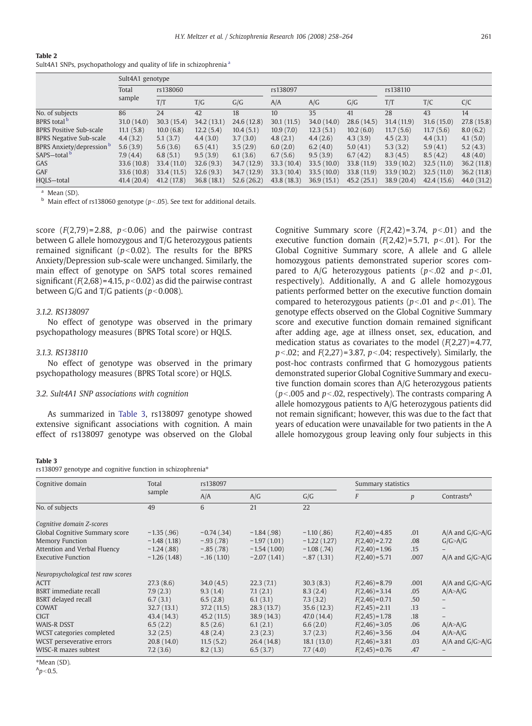#### <span id="page-3-0"></span>Table 2

Sult4A1 SNPs, psychopathology and quality of life in schizophrenia<sup>a</sup>

|                                  | Sult4A1 genotype |             |             |             |                  |             |             |             |            |             |  |
|----------------------------------|------------------|-------------|-------------|-------------|------------------|-------------|-------------|-------------|------------|-------------|--|
|                                  | Total<br>sample  | rs138060    |             |             | rs138097         |             |             | rs138110    |            |             |  |
|                                  |                  | T/T         | T/G         | G/G         | A/A              | A/G         | G/G         | T/T         | T/C        | C/C         |  |
| No. of subjects                  | 86               | 24          | 42          | 18          | 10 <sup>10</sup> | 35          | 41          | 28          | 43         | 14          |  |
| BPRS total <b>b</b>              | 31.0(14.0)       | 30.3(15.4)  | 34.2 (13.1) | 24.6 (12.8) | 30.1(11.5)       | 34.0 (14.0) | 28.6(14.5)  | 31.4(11.9)  | 31.6(15.0) | 27.8 (15.8) |  |
| <b>BPRS Positive Sub-scale</b>   | 11.1(5.8)        | 10.0(6.8)   | 12.2(5.4)   | 10.4(5.1)   | 10.9(7.0)        | 12.3(5.1)   | 10.2(6.0)   | 11.7(5.6)   | 11.7(5.6)  | 8.0(6.2)    |  |
| <b>BPRS Negative Sub-scale</b>   | 4.4(3.2)         | 5.1(3.7)    | 4.4(3.0)    | 3.7(3.0)    | 4.8(2.1)         | 4.4(2.6)    | 4.3(3.9)    | 4.5(2.3)    | 4.4(3.1)   | 4.1(5.0)    |  |
| BPRS Anxiety/depression <b>b</b> | 5.6(3.9)         | 5.6(3.6)    | 6.5(4.1)    | 3.5(2.9)    | 6.0(2.0)         | 6.2(4.0)    | 5.0(4.1)    | 5.3(3.2)    | 5.9(4.1)   | 5.2(4.3)    |  |
| SAPS-total <b>b</b>              | 7.9(4.4)         | 6.8(5.1)    | 9.5(3.9)    | 6.1(3.6)    | 6.7(5.6)         | 9.5(3.9)    | 6.7(4.2)    | 8.3(4.5)    | 8.5(4.2)   | 4.8(4.0)    |  |
| GAS                              | 33.6 (10.8)      | 33.4 (11.0) | 32.6(9.3)   | 34.7 (12.9) | 33.3(10.4)       | 33.5(10.0)  | 33.8 (11.9) | 33.9(10.2)  | 32.5(11.0) | 36.2(11.8)  |  |
| GAF                              | 33.6 (10.8)      | 33.4 (11.5) | 32.6(9.3)   | 34.7 (12.9) | 33.3(10.4)       | 33.5(10.0)  | 33.8 (11.9) | 33.9(10.2)  | 32.5(11.0) | 36.2(11.8)  |  |
| HQLS-total                       | 41.4(20.4)       | 41.2(17.8)  | 36.8(18.1)  | 52.6(26.2)  | 43.8(18.3)       | 36.9(15.1)  | 45.2(25.1)  | 38.9 (20.4) | 42.4(15.6) | 44.0 (31.2) |  |

<sup>a</sup> Mean (SD).

**b** Main effect of rs138060 genotype ( $p$ <.05). See text for additional details.

score  $(F(2,79)=2.88, p<0.06)$  and the pairwise contrast between G allele homozygous and T/G heterozygous patients remained significant ( $p<0.02$ ). The results for the BPRS Anxiety/Depression sub-scale were unchanged. Similarly, the main effect of genotype on SAPS total scores remained significant ( $F(2.68) = 4.15, p < 0.02$ ) as did the pairwise contrast between G/G and T/G patients ( $p<0.008$ ).

# 3.1.2. RS138097

No effect of genotype was observed in the primary psychopathology measures (BPRS Total score) or HQLS.

### 3.1.3. RS138110

No effect of genotype was observed in the primary psychopathology measures (BPRS Total score) or HQLS.

# 3.2. Sult4A1 SNP associations with cognition

As summarized in Table 3, rs138097 genotype showed extensive significant associations with cognition. A main effect of rs138097 genotype was observed on the Global Cognitive Summary score  $(F(2,42)=3.74, p<0.01)$  and the executive function domain  $(F(2,42)=5.71, p<0.01)$ . For the Global Cognitive Summary score, A allele and G allele homozygous patients demonstrated superior scores compared to A/G heterozygous patients  $(p<0.02$  and  $p<0.01$ , respectively). Additionally, A and G allele homozygous patients performed better on the executive function domain compared to heterozygous patients ( $p$ <.01 and  $p$ <.01). The genotype effects observed on the Global Cognitive Summary score and executive function domain remained significant after adding age, age at illness onset, sex, education, and medication status as covariates to the model  $(F(2,27)=4.77$ ,  $p<0.02$ ; and  $F(2,27) = 3.87$ ,  $p<0.04$ ; respectively). Similarly, the post-hoc contrasts confirmed that G homozygous patients demonstrated superior Global Cognitive Summary and executive function domain scores than A/G heterozygous patients  $(p<.005$  and  $p<.02$ , respectively). The contrasts comparing A allele homozygous patients to A/G heterozygous patients did not remain significant; however, this was due to the fact that years of education were unavailable for two patients in the A allele homozygous group leaving only four subjects in this

#### Table 3

rs138097 genotype and cognitive function in schizophrenia<sup>\*</sup>

| Cognitive domain                   | Total         | rs138097      |               |               | Summary statistics |      |                        |  |
|------------------------------------|---------------|---------------|---------------|---------------|--------------------|------|------------------------|--|
|                                    | sample        | A/A<br>A/G    |               | G/G           | F                  | p    | Contrasts <sup>A</sup> |  |
| No. of subjects                    | 49            | 6             | 21            | 22            |                    |      |                        |  |
| Cognitive domain Z-scores          |               |               |               |               |                    |      |                        |  |
| Global Cognitive Summary score     | $-1.35(.96)$  | $-0.74$ (.34) | $-1.84(.98)$  | $-1.10$ (.86) | $F(2,40) = 4.85$   | .01  | $A/A$ and $G/G > A/C$  |  |
| <b>Memory Function</b>             | $-1.48(1.18)$ | $-.93(.78)$   | $-1.97(1.01)$ | $-1.22(1.27)$ | $F(2,40) = 2.72$   | .08  | G/G > A/G              |  |
| Attention and Verbal Fluency       | $-1.24(.88)$  | $-.85(.78)$   | $-1.54(1.00)$ | $-1.08(.74)$  | $F(2,40) = 1.96$   | .15  |                        |  |
| <b>Executive Function</b>          | $-1.26(1.48)$ | $-.16(1.10)$  | $-2.07(1.41)$ | $-.87(1.31)$  | $F(2,40) = 5.71$   | .007 | $A/A$ and $G/G > A/C$  |  |
| Neuropsychological test raw scores |               |               |               |               |                    |      |                        |  |
| <b>ACTT</b>                        | 27.3(8.6)     | 34.0(4.5)     | 22.3(7.1)     | 30.3(8.3)     | $F(2,46) = 8.79$   | .001 | $A/A$ and $G/G > A/C$  |  |
| <b>BSRT</b> immediate recall       | 7.9(2.3)      | 9.3(1.4)      | 7.1(2.1)      | 8.3(2.4)      | $F(2,46) = 3.14$   | .05  | A/A > A/G              |  |
| <b>BSRT</b> delayed recall         | 6.7(3.1)      | 6.5(2.8)      | 6.1(3.1)      | 7.3(3.2)      | $F(2,46) = 0.71$   | .50  |                        |  |
| COWAT                              | 32.7(13.1)    | 37.2(11.5)    | 28.3(13.7)    | 35.6(12.3)    | $F(2,45) = 2.11$   | .13  |                        |  |
| <b>CIGT</b>                        | 43.4 (14.3)   | 45.2(11.5)    | 38.9(14.3)    | 47.0 (14.4)   | $F(2,45) = 1.78$   | .18  |                        |  |
| <b>WAIS-R DSST</b>                 | 6.5(2.2)      | 8.5(2.6)      | 6.1(2.1)      | 6.6(2.0)      | $F(2,46) = 3.05$   | .06  | A/A > A/G              |  |
| WCST categories completed          | 3.2(2.5)      | 4.8(2.4)      | 2.3(2.3)      | 3.7(2.3)      | $F(2,46) = 3.56$   | .04  | A/A > A/G              |  |
| WCST perseverative errors          | 20.8(14.0)    | 11.5(5.2)     | 26.4(14.8)    | 18.1(13.0)    | $F(2,46) = 3.81$   | .03  | $A/A$ and $G/G > A/C$  |  |
| WISC-R mazes subtest               | 7.2(3.6)      | 8.2(1.3)      | 6.5(3.7)      | 7.7(4.0)      | $F(2,45) = 0.76$   | .47  |                        |  |

⁎Mean (SD).

 $A_p < 0.5$ .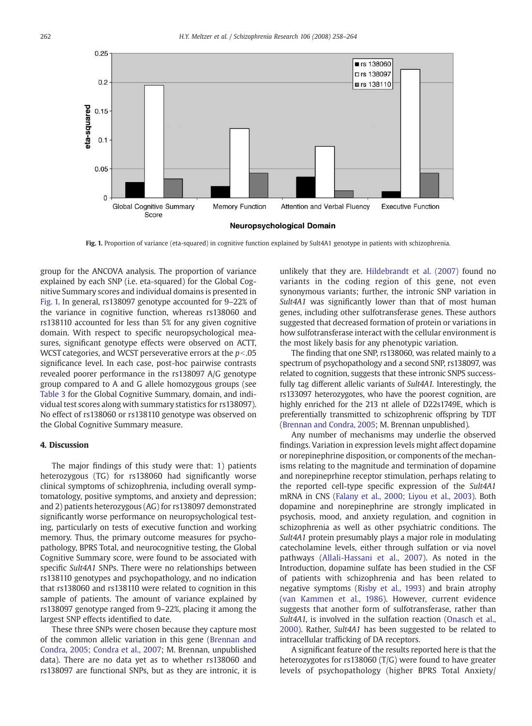

Fig. 1. Proportion of variance (eta-squared) in cognitive function explained by Sult4A1 genotype in patients with schizophrenia.

group for the ANCOVA analysis. The proportion of variance explained by each SNP (i.e. eta-squared) for the Global Cognitive Summary scores and individual domains is presented in Fig. 1. In general, rs138097 genotype accounted for 9–22% of the variance in cognitive function, whereas rs138060 and rs138110 accounted for less than 5% for any given cognitive domain. With respect to specific neuropsychological measures, significant genotype effects were observed on ACTT, WCST categories, and WCST perseverative errors at the  $p<0.05$ significance level. In each case, post-hoc pairwise contrasts revealed poorer performance in the rs138097 A/G genotype group compared to A and G allele homozygous groups (see [Table 3](#page-3-0) for the Global Cognitive Summary, domain, and individual test scores along with summary statistics for rs138097). No effect of rs138060 or rs138110 genotype was observed on the Global Cognitive Summary measure.

# 4. Discussion

The major findings of this study were that: 1) patients heterozygous (TG) for rs138060 had significantly worse clinical symptoms of schizophrenia, including overall symptomatology, positive symptoms, and anxiety and depression; and 2) patients heterozygous (AG) for rs138097 demonstrated significantly worse performance on neuropsychological testing, particularly on tests of executive function and working memory. Thus, the primary outcome measures for psychopathology, BPRS Total, and neurocognitive testing, the Global Cognitive Summary score, were found to be associated with specific Sult4A1 SNPs. There were no relationships between rs138110 genotypes and psychopathology, and no indication that rs138060 and rs138110 were related to cognition in this sample of patients. The amount of variance explained by rs138097 genotype ranged from 9–22%, placing it among the largest SNP effects identified to date.

These three SNPs were chosen because they capture most of the common allelic variation in this gene ([Brennan and](#page-5-0) [Condra, 2005; Condra et al., 2007;](#page-5-0) M. Brennan, unpublished data). There are no data yet as to whether rs138060 and rs138097 are functional SNPs, but as they are intronic, it is

unlikely that they are. [Hildebrandt et al. \(2007\)](#page-5-0) found no variants in the coding region of this gene, not even synonymous variants; further, the intronic SNP variation in Sult4A1 was significantly lower than that of most human genes, including other sulfotransferase genes. These authors suggested that decreased formation of protein or variations in how sulfotransferase interact with the cellular environment is the most likely basis for any phenotypic variation.

The finding that one SNP, rs138060, was related mainly to a spectrum of psychopathology and a second SNP, rs138097, was related to cognition, suggests that these intronic SNPS successfully tag different allelic variants of Sult4A1. Interestingly, the rs133097 heterozygotes, who have the poorest cognition, are highly enriched for the 213 nt allele of D22s1749E, which is preferentially transmitted to schizophrenic offspring by TDT [\(Brennan and Condra, 2005;](#page-5-0) M. Brennan unpublished).

Any number of mechanisms may underlie the observed findings. Variation in expression levels might affect dopamine or norepinephrine disposition, or components of the mechanisms relating to the magnitude and termination of dopamine and norepineprhine receptor stimulation, perhaps relating to the reported cell-type specific expression of the Sult4A1 mRNA in CNS ([Falany et al., 2000; Liyou et al., 2003\)](#page-5-0). Both dopamine and norepinephrine are strongly implicated in psychosis, mood, and anxiety regulation, and cognition in schizophrenia as well as other psychiatric conditions. The Sult4A1 protein presumably plays a major role in modulating catecholamine levels, either through sulfation or via novel pathways ([Allali-Hassani et al., 2007\)](#page-5-0). As noted in the Introduction, dopamine sulfate has been studied in the CSF of patients with schizophrenia and has been related to negative symptoms ([Risby et al., 1993\)](#page-6-0) and brain atrophy [\(van Kammen et al., 1986\)](#page-6-0). However, current evidence suggests that another form of sulfotransferase, rather than Sult4A1, is involved in the sulfation reaction [\(Onasch et al.,](#page-6-0) [2000](#page-6-0)). Rather, Sult4A1 has been suggested to be related to intracellular trafficking of DA receptors.

A significant feature of the results reported here is that the heterozygotes for rs138060 (T/G) were found to have greater levels of psychopathology (higher BPRS Total Anxiety/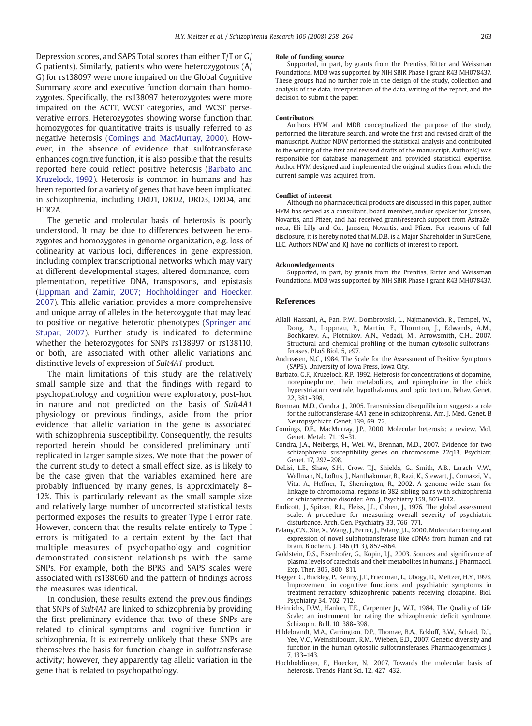<span id="page-5-0"></span>Depression scores, and SAPS Total scores than either T/T or G/ G patients). Similarly, patients who were heterozygotous (A/ G) for rs138097 were more impaired on the Global Cognitive Summary score and executive function domain than homozygotes. Specifically, the rs138097 heterozygotes were more impaired on the ACTT, WCST categories, and WCST perseverative errors. Heterozygotes showing worse function than homozygotes for quantitative traits is usually referred to as negative heterosis (Comings and MacMurray, 2000). However, in the absence of evidence that sulfotransferase enhances cognitive function, it is also possible that the results reported here could reflect positive heterosis (Barbato and Kruzelock, 1992). Heterosis is common in humans and has been reported for a variety of genes that have been implicated in schizophrenia, including DRD1, DRD2, DRD3, DRD4, and HTR2A.

The genetic and molecular basis of heterosis is poorly understood. It may be due to differences between heterozygotes and homozygotes in genome organization, e.g. loss of colinearity at various loci, differences in gene expression, including complex transcriptional networks which may vary at different developmental stages, altered dominance, complementation, repetitive DNA, transposons, and epistasis ([Lippman and Zamir, 2007; Hochholdinger and Hoecker,](#page-6-0) [2007](#page-6-0)). This allelic variation provides a more comprehensive and unique array of alleles in the heterozygote that may lead to positive or negative heterotic phenotypes [\(Springer and](#page-6-0) [Stupar, 2007\)](#page-6-0). Further study is indicated to determine whether the heterozygotes for SNPs rs138997 or rs138110, or both, are associated with other allelic variations and distinctive levels of expression of Sult4A1 product.

The main limitations of this study are the relatively small sample size and that the findings with regard to psychopathology and cognition were exploratory, post-hoc in nature and not predicted on the basis of Sult4A1 physiology or previous findings, aside from the prior evidence that allelic variation in the gene is associated with schizophrenia susceptibility. Consequently, the results reported herein should be considered preliminary until replicated in larger sample sizes. We note that the power of the current study to detect a small effect size, as is likely to be the case given that the variables examined here are probably influenced by many genes, is approximately 8– 12%. This is particularly relevant as the small sample size and relatively large number of uncorrected statistical tests performed exposes the results to greater Type I error rate. However, concern that the results relate entirely to Type I errors is mitigated to a certain extent by the fact that multiple measures of psychopathology and cognition demonstrated consistent relationships with the same SNPs. For example, both the BPRS and SAPS scales were associated with rs138060 and the pattern of findings across the measures was identical.

In conclusion, these results extend the previous findings that SNPs of Sult4A1 are linked to schizophrenia by providing the first preliminary evidence that two of these SNPs are related to clinical symptoms and cognitive function in schizophrenia. It is extremely unlikely that these SNPs are themselves the basis for function change in sulfotransferase activity; however, they apparently tag allelic variation in the gene that is related to psychopathology.

#### Role of funding source

Supported, in part, by grants from the Prentiss, Ritter and Weissman Foundations. MDB was supported by NIH SBIR Phase I grant R43 MH078437. These groups had no further role in the design of the study, collection and analysis of the data, interpretation of the data, writing of the report, and the decision to submit the paper.

#### Contributors

Authors HYM and MDB conceptualized the purpose of the study, performed the literature search, and wrote the first and revised draft of the manuscript. Author NDW performed the statistical analysis and contributed to the writing of the first and revised drafts of the manuscript. Author KJ was responsible for database management and provided statistical expertise. Author HYM designed and implemented the original studies from which the current sample was acquired from.

#### Conflict of interest

Although no pharmaceutical products are discussed in this paper, author HYM has served as a consultant, board member, and/or speaker for Janssen Novartis, and Pfizer, and has received grant/research support from AstraZeneca, Eli Lilly and Co., Janssen, Novartis, and Pfizer. For reasons of full disclosure, it is hereby noted that M.D.B. is a Major Shareholder in SureGene, LLC. Authors NDW and KJ have no conflicts of interest to report.

#### Acknowledgements

Supported, in part, by grants from the Prentiss, Ritter and Weissman Foundations. MDB was supported by NIH SBIR Phase I grant R43 MH078437.

#### **References**

- Allali-Hassani, A., Pan, P.W., Dombrovski, L., Najmanovich, R., Tempel, W., Dong, A., Loppnau, P., Martin, F., Thornton, J., Edwards, A.M., Bochkarev, A., Plotnikov, A.N., Vedadi, M., Arrowsmith, C.H., 2007. Structural and chemical profiling of the human cytosolic sulfotransferases. PLoS Biol. 5, e97.
- Andreasen, N.C., 1984. The Scale for the Assessment of Positive Symptoms (SAPS). University of Iowa Press, Iowa City.
- Barbato, G.F., Kruzelock, R.P., 1992. Heterosis for concentrations of dopamine, norepinephrine, their metabolites, and epinephrine in the chick hyperstriatum ventrale, hypothalamus, and optic tectum. Behav. Genet. 22, 381–398.
- Brennan, M.D., Condra, J., 2005. Transmission disequilibrium suggests a role for the sulfotransferase-4A1 gene in schizophrenia. Am. J. Med. Genet. B Neuropsychiatr. Genet. 139, 69–72.
- Comings, D.E., MacMurray, J.P., 2000. Molecular heterosis: a review. Mol. Genet. Metab. 71, 19–31.
- Condra, J.A., Neibergs, H., Wei, W., Brennan, M.D., 2007. Evidence for two schizophrenia susceptibility genes on chromosome 22q13. Psychiatr. Genet. 17, 292–298.
- DeLisi, L.E., Shaw, S.H., Crow, T.J., Shields, G., Smith, A.B., Larach, V.W., Wellman, N., Loftus, J., Nanthakumar, B., Razi, K., Stewart, J., Comazzi, M., Vita, A., Heffner, T., Sherrington, R., 2002. A genome-wide scan for linkage to chromosomal regions in 382 sibling pairs with schizophrenia or schizoaffective disorder. Am. J. Psychiatry 159, 803–812.
- Endicott, J., Spitzer, R.L., Fleiss, J.L., Cohen, J., 1976. The global assessment scale. A procedure for measuring overall severity of psychiatric disturbance. Arch. Gen. Psychiatry 33, 766–771.
- Falany, C.N., Xie, X., Wang, J., Ferrer, J., Falany, J.L., 2000. Molecular cloning and expression of novel sulphotransferase-like cDNAs from human and rat brain. Biochem. J. 346 (Pt 3), 857–864.
- Goldstein, D.S., Eisenhofer, G., Kopin, I.J., 2003. Sources and significance of plasma levels of catechols and their metabolites in humans. J. Pharmacol. Exp. Ther. 305, 800–811.
- Hagger, C., Buckley, P., Kenny, J.T., Friedman, L., Ubogy, D., Meltzer, H.Y., 1993. Improvement in cognitive functions and psychiatric symptoms in treatment-refractory schizophrenic patients receiving clozapine. Biol. Psychiatry 34, 702–712.
- Heinrichs, D.W., Hanlon, T.E., Carpenter Jr., W.T., 1984. The Quality of Life Scale: an instrument for rating the schizophrenic deficit syndrome. Schizophr. Bull. 10, 388–398.
- Hildebrandt, M.A., Carrington, D.P., Thomae, B.A., Eckloff, B.W., Schaid, D.J., Yee, V.C., Weinshilboum, R.M., Wieben, E.D., 2007. Genetic diversity and function in the human cytosolic sulfotransferases. Pharmacogenomics J. 7, 133–143.
- Hochholdinger, F., Hoecker, N., 2007. Towards the molecular basis of heterosis. Trends Plant Sci. 12, 427–432.